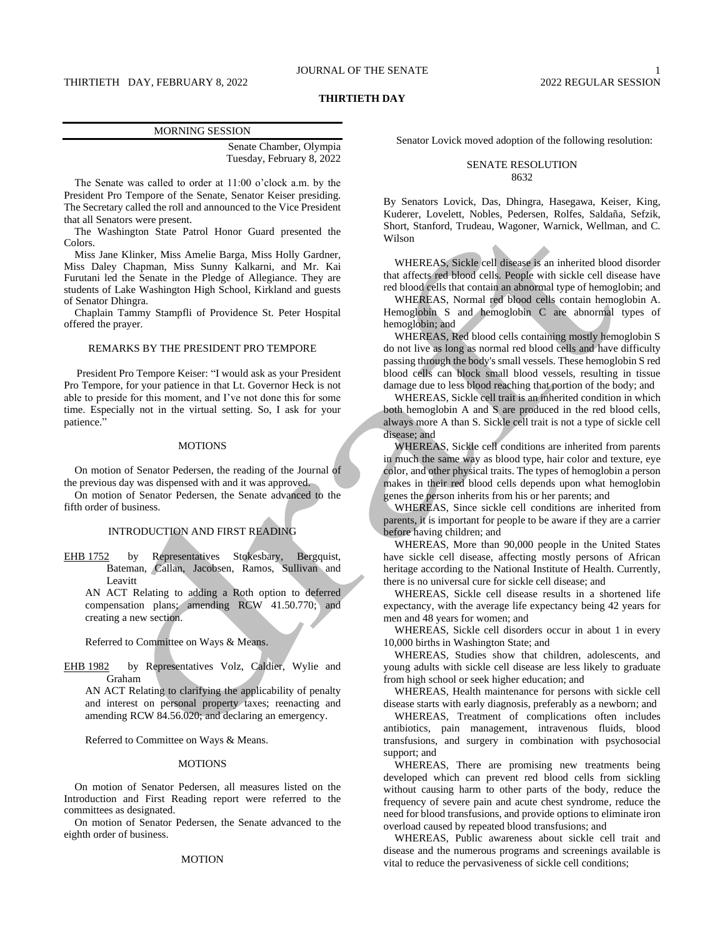# THIRTIETH DAY, FEBRUARY 8, 2022 2022 2022 REGULAR SESSION

# **THIRTIETH DAY**

| <b>MORNING SESSION</b>    |
|---------------------------|
| Senate Chamber, Olympia   |
| Tuesday, February 8, 2022 |

The Senate was called to order at 11:00 o'clock a.m. by the President Pro Tempore of the Senate, Senator Keiser presiding. The Secretary called the roll and announced to the Vice President that all Senators were present.

The Washington State Patrol Honor Guard presented the Colors.

Miss Jane Klinker, Miss Amelie Barga, Miss Holly Gardner, Miss Daley Chapman, Miss Sunny Kalkarni, and Mr. Kai Furutani led the Senate in the Pledge of Allegiance. They are students of Lake Washington High School, Kirkland and guests of Senator Dhingra.

Chaplain Tammy Stampfli of Providence St. Peter Hospital offered the prayer.

# REMARKS BY THE PRESIDENT PRO TEMPORE

President Pro Tempore Keiser: "I would ask as your President Pro Tempore, for your patience in that Lt. Governor Heck is not able to preside for this moment, and I've not done this for some time. Especially not in the virtual setting. So, I ask for your patience."

#### MOTIONS

On motion of Senator Pedersen, the reading of the Journal of the previous day was dispensed with and it was approved.

On motion of Senator Pedersen, the Senate advanced to the fifth order of business.

# INTRODUCTION AND FIRST READING

EHB 1752 by Representatives Stokesbary, Bergquist, Bateman, Callan, Jacobsen, Ramos, Sullivan and Leavitt

AN ACT Relating to adding a Roth option to deferred compensation plans; amending RCW 41.50.770; and creating a new section.

Referred to Committee on Ways & Means.

EHB 1982 by Representatives Volz, Caldier, Wylie and Graham

AN ACT Relating to clarifying the applicability of penalty and interest on personal property taxes; reenacting and amending RCW 84.56.020; and declaring an emergency.

Referred to Committee on Ways & Means.

#### **MOTIONS**

On motion of Senator Pedersen, all measures listed on the Introduction and First Reading report were referred to the committees as designated.

On motion of Senator Pedersen, the Senate advanced to the eighth order of business.

### MOTION

Senator Lovick moved adoption of the following resolution:

# SENATE RESOLUTION 8632

By Senators Lovick, Das, Dhingra, Hasegawa, Keiser, King, Kuderer, Lovelett, Nobles, Pedersen, Rolfes, Saldaña, Sefzik, Short, Stanford, Trudeau, Wagoner, Warnick, Wellman, and C. Wilson

WHEREAS, Sickle cell disease is an inherited blood disorder that affects red blood cells. People with sickle cell disease have red blood cells that contain an abnormal type of hemoglobin; and

WHEREAS, Normal red blood cells contain hemoglobin A. Hemoglobin S and hemoglobin C are abnormal types of hemoglobin; and

WHEREAS, Red blood cells containing mostly hemoglobin S do not live as long as normal red blood cells and have difficulty passing through the body's small vessels. These hemoglobin S red blood cells can block small blood vessels, resulting in tissue damage due to less blood reaching that portion of the body; and

WHEREAS, Sickle cell trait is an inherited condition in which both hemoglobin A and S are produced in the red blood cells, always more A than S. Sickle cell trait is not a type of sickle cell disease; and

WHEREAS, Sickle cell conditions are inherited from parents in much the same way as blood type, hair color and texture, eye color, and other physical traits. The types of hemoglobin a person makes in their red blood cells depends upon what hemoglobin genes the person inherits from his or her parents; and

WHEREAS, Since sickle cell conditions are inherited from parents, it is important for people to be aware if they are a carrier before having children; and

WHEREAS, More than 90,000 people in the United States have sickle cell disease, affecting mostly persons of African heritage according to the National Institute of Health. Currently, there is no universal cure for sickle cell disease; and

WHEREAS, Sickle cell disease results in a shortened life expectancy, with the average life expectancy being 42 years for men and 48 years for women; and

WHEREAS, Sickle cell disorders occur in about 1 in every 10,000 births in Washington State; and

WHEREAS, Studies show that children, adolescents, and young adults with sickle cell disease are less likely to graduate from high school or seek higher education; and

WHEREAS, Health maintenance for persons with sickle cell disease starts with early diagnosis, preferably as a newborn; and

WHEREAS, Treatment of complications often includes antibiotics, pain management, intravenous fluids, blood transfusions, and surgery in combination with psychosocial support; and

WHEREAS, There are promising new treatments being developed which can prevent red blood cells from sickling without causing harm to other parts of the body, reduce the frequency of severe pain and acute chest syndrome, reduce the need for blood transfusions, and provide options to eliminate iron overload caused by repeated blood transfusions; and

WHEREAS, Public awareness about sickle cell trait and disease and the numerous programs and screenings available is vital to reduce the pervasiveness of sickle cell conditions;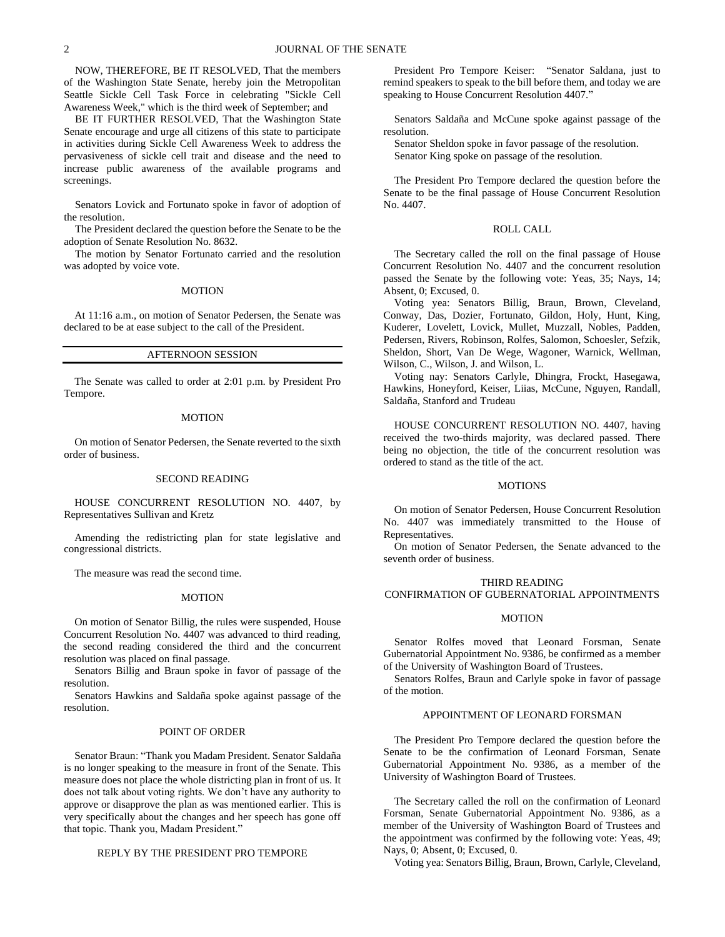NOW, THEREFORE, BE IT RESOLVED, That the members of the Washington State Senate, hereby join the Metropolitan Seattle Sickle Cell Task Force in celebrating "Sickle Cell Awareness Week," which is the third week of September; and

BE IT FURTHER RESOLVED, That the Washington State Senate encourage and urge all citizens of this state to participate in activities during Sickle Cell Awareness Week to address the pervasiveness of sickle cell trait and disease and the need to increase public awareness of the available programs and screenings.

Senators Lovick and Fortunato spoke in favor of adoption of the resolution.

The President declared the question before the Senate to be the adoption of Senate Resolution No. 8632.

The motion by Senator Fortunato carried and the resolution was adopted by voice vote.

#### MOTION

At 11:16 a.m., on motion of Senator Pedersen, the Senate was declared to be at ease subject to the call of the President.

# AFTERNOON SESSION

The Senate was called to order at 2:01 p.m. by President Pro Tempore.

#### MOTION

On motion of Senator Pedersen, the Senate reverted to the sixth order of business.

#### SECOND READING

HOUSE CONCURRENT RESOLUTION NO. 4407, by Representatives Sullivan and Kretz

Amending the redistricting plan for state legislative and congressional districts.

The measure was read the second time.

#### MOTION

On motion of Senator Billig, the rules were suspended, House Concurrent Resolution No. 4407 was advanced to third reading, the second reading considered the third and the concurrent resolution was placed on final passage.

Senators Billig and Braun spoke in favor of passage of the resolution.

Senators Hawkins and Saldaña spoke against passage of the resolution.

#### POINT OF ORDER

Senator Braun: "Thank you Madam President. Senator Saldaña is no longer speaking to the measure in front of the Senate. This measure does not place the whole districting plan in front of us. It does not talk about voting rights. We don't have any authority to approve or disapprove the plan as was mentioned earlier. This is very specifically about the changes and her speech has gone off that topic. Thank you, Madam President."

# REPLY BY THE PRESIDENT PRO TEMPORE

President Pro Tempore Keiser: "Senator Saldana, just to remind speakers to speak to the bill before them, and today we are speaking to House Concurrent Resolution 4407."

Senators Saldaña and McCune spoke against passage of the resolution.

Senator Sheldon spoke in favor passage of the resolution. Senator King spoke on passage of the resolution.

The President Pro Tempore declared the question before the Senate to be the final passage of House Concurrent Resolution No. 4407.

# ROLL CALL

The Secretary called the roll on the final passage of House Concurrent Resolution No. 4407 and the concurrent resolution passed the Senate by the following vote: Yeas, 35; Nays, 14; Absent, 0; Excused, 0.

Voting yea: Senators Billig, Braun, Brown, Cleveland, Conway, Das, Dozier, Fortunato, Gildon, Holy, Hunt, King, Kuderer, Lovelett, Lovick, Mullet, Muzzall, Nobles, Padden, Pedersen, Rivers, Robinson, Rolfes, Salomon, Schoesler, Sefzik, Sheldon, Short, Van De Wege, Wagoner, Warnick, Wellman, Wilson, C., Wilson, J. and Wilson, L.

Voting nay: Senators Carlyle, Dhingra, Frockt, Hasegawa, Hawkins, Honeyford, Keiser, Liias, McCune, Nguyen, Randall, Saldaña, Stanford and Trudeau

HOUSE CONCURRENT RESOLUTION NO. 4407, having received the two-thirds majority, was declared passed. There being no objection, the title of the concurrent resolution was ordered to stand as the title of the act.

# **MOTIONS**

On motion of Senator Pedersen, House Concurrent Resolution No. 4407 was immediately transmitted to the House of Representatives.

On motion of Senator Pedersen, the Senate advanced to the seventh order of business.

#### THIRD READING

# CONFIRMATION OF GUBERNATORIAL APPOINTMENTS

# MOTION

Senator Rolfes moved that Leonard Forsman, Senate Gubernatorial Appointment No. 9386, be confirmed as a member of the University of Washington Board of Trustees.

Senators Rolfes, Braun and Carlyle spoke in favor of passage of the motion.

### APPOINTMENT OF LEONARD FORSMAN

The President Pro Tempore declared the question before the Senate to be the confirmation of Leonard Forsman, Senate Gubernatorial Appointment No. 9386, as a member of the University of Washington Board of Trustees.

The Secretary called the roll on the confirmation of Leonard Forsman, Senate Gubernatorial Appointment No. 9386, as a member of the University of Washington Board of Trustees and the appointment was confirmed by the following vote: Yeas, 49; Nays, 0; Absent, 0; Excused, 0.

Voting yea: Senators Billig, Braun, Brown, Carlyle, Cleveland,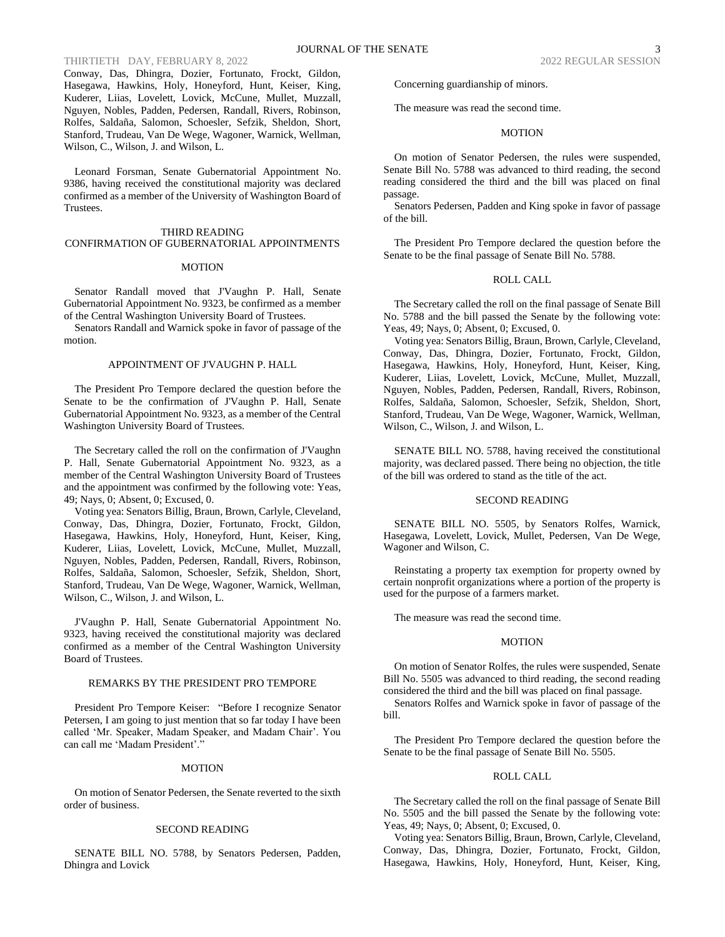# THIRTIETH DAY, FEBRUARY 8, 2022

Conway, Das, Dhingra, Dozier, Fortunato, Frockt, Gildon, Hasegawa, Hawkins, Holy, Honeyford, Hunt, Keiser, King, Kuderer, Liias, Lovelett, Lovick, McCune, Mullet, Muzzall, Nguyen, Nobles, Padden, Pedersen, Randall, Rivers, Robinson, Rolfes, Saldaña, Salomon, Schoesler, Sefzik, Sheldon, Short, Stanford, Trudeau, Van De Wege, Wagoner, Warnick, Wellman, Wilson, C., Wilson, J. and Wilson, L.

Leonard Forsman, Senate Gubernatorial Appointment No. 9386, having received the constitutional majority was declared confirmed as a member of the University of Washington Board of Trustees.

# THIRD READING

# CONFIRMATION OF GUBERNATORIAL APPOINTMENTS

# MOTION

Senator Randall moved that J'Vaughn P. Hall, Senate Gubernatorial Appointment No. 9323, be confirmed as a member of the Central Washington University Board of Trustees.

Senators Randall and Warnick spoke in favor of passage of the motion.

#### APPOINTMENT OF J'VAUGHN P. HALL

The President Pro Tempore declared the question before the Senate to be the confirmation of J'Vaughn P. Hall, Senate Gubernatorial Appointment No. 9323, as a member of the Central Washington University Board of Trustees.

The Secretary called the roll on the confirmation of J'Vaughn P. Hall, Senate Gubernatorial Appointment No. 9323, as a member of the Central Washington University Board of Trustees and the appointment was confirmed by the following vote: Yeas, 49; Nays, 0; Absent, 0; Excused, 0.

Voting yea: Senators Billig, Braun, Brown, Carlyle, Cleveland, Conway, Das, Dhingra, Dozier, Fortunato, Frockt, Gildon, Hasegawa, Hawkins, Holy, Honeyford, Hunt, Keiser, King, Kuderer, Liias, Lovelett, Lovick, McCune, Mullet, Muzzall, Nguyen, Nobles, Padden, Pedersen, Randall, Rivers, Robinson, Rolfes, Saldaña, Salomon, Schoesler, Sefzik, Sheldon, Short, Stanford, Trudeau, Van De Wege, Wagoner, Warnick, Wellman, Wilson, C., Wilson, J. and Wilson, L.

J'Vaughn P. Hall, Senate Gubernatorial Appointment No. 9323, having received the constitutional majority was declared confirmed as a member of the Central Washington University Board of Trustees.

#### REMARKS BY THE PRESIDENT PRO TEMPORE

President Pro Tempore Keiser: "Before I recognize Senator Petersen, I am going to just mention that so far today I have been called 'Mr. Speaker, Madam Speaker, and Madam Chair'. You can call me 'Madam President'.'

# MOTION

On motion of Senator Pedersen, the Senate reverted to the sixth order of business.

#### SECOND READING

SENATE BILL NO. 5788, by Senators Pedersen, Padden, Dhingra and Lovick

Concerning guardianship of minors.

The measure was read the second time.

#### MOTION

On motion of Senator Pedersen, the rules were suspended, Senate Bill No. 5788 was advanced to third reading, the second reading considered the third and the bill was placed on final passage.

Senators Pedersen, Padden and King spoke in favor of passage of the bill.

The President Pro Tempore declared the question before the Senate to be the final passage of Senate Bill No. 5788.

# ROLL CALL

The Secretary called the roll on the final passage of Senate Bill No. 5788 and the bill passed the Senate by the following vote: Yeas, 49; Nays, 0; Absent, 0; Excused, 0.

Voting yea: Senators Billig, Braun, Brown, Carlyle, Cleveland, Conway, Das, Dhingra, Dozier, Fortunato, Frockt, Gildon, Hasegawa, Hawkins, Holy, Honeyford, Hunt, Keiser, King, Kuderer, Liias, Lovelett, Lovick, McCune, Mullet, Muzzall, Nguyen, Nobles, Padden, Pedersen, Randall, Rivers, Robinson, Rolfes, Saldaña, Salomon, Schoesler, Sefzik, Sheldon, Short, Stanford, Trudeau, Van De Wege, Wagoner, Warnick, Wellman, Wilson, C., Wilson, J. and Wilson, L.

SENATE BILL NO. 5788, having received the constitutional majority, was declared passed. There being no objection, the title of the bill was ordered to stand as the title of the act.

# SECOND READING

SENATE BILL NO. 5505, by Senators Rolfes, Warnick, Hasegawa, Lovelett, Lovick, Mullet, Pedersen, Van De Wege, Wagoner and Wilson, C.

Reinstating a property tax exemption for property owned by certain nonprofit organizations where a portion of the property is used for the purpose of a farmers market.

The measure was read the second time.

# **MOTION**

On motion of Senator Rolfes, the rules were suspended, Senate Bill No. 5505 was advanced to third reading, the second reading considered the third and the bill was placed on final passage.

Senators Rolfes and Warnick spoke in favor of passage of the bill.

The President Pro Tempore declared the question before the Senate to be the final passage of Senate Bill No. 5505.

#### ROLL CALL

The Secretary called the roll on the final passage of Senate Bill No. 5505 and the bill passed the Senate by the following vote: Yeas, 49; Nays, 0; Absent, 0; Excused, 0.

Voting yea: Senators Billig, Braun, Brown, Carlyle, Cleveland, Conway, Das, Dhingra, Dozier, Fortunato, Frockt, Gildon, Hasegawa, Hawkins, Holy, Honeyford, Hunt, Keiser, King,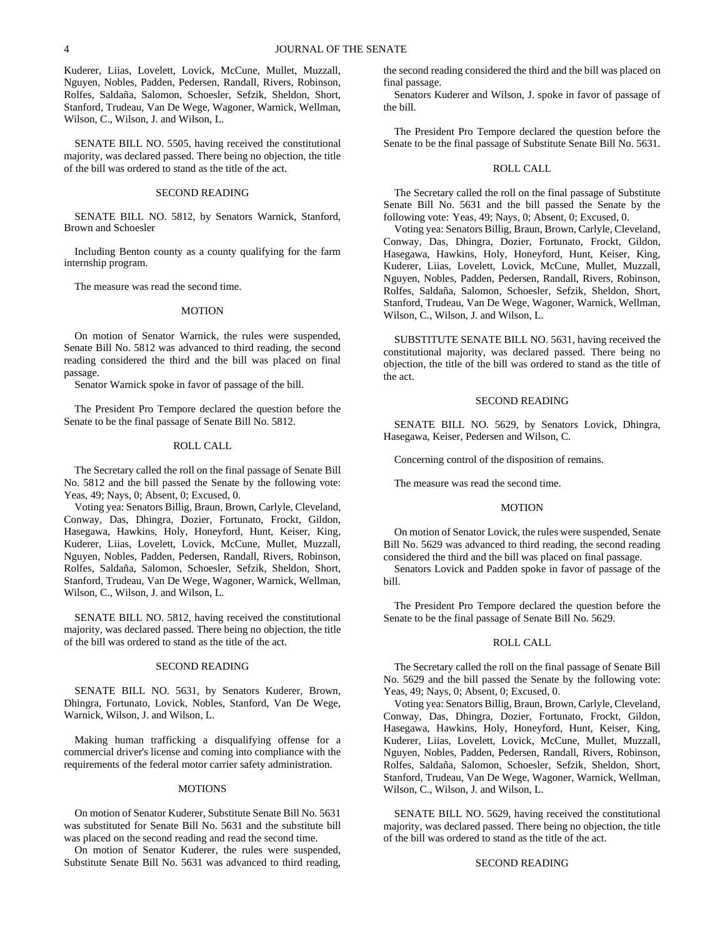Kuderer, Liias, Lovelett, Lovick, McCune, Mullet, Muzzall, Nguyen, Nobles, Padden, Pedersen, Randall, Rivers, Robinson, Rolfes, Saldaña, Salomon, Schoesler, Sefzik, Sheldon, Short, Stanford, Trudeau, Van De Wege, Wagoner, Warnick, Wellman, Wilson, C., Wilson, J. and Wilson, L.

SENATE BILL NO. 5505, having received the constitutional majority, was declared passed. There being no objection, the title of the bill was ordered to stand as the title of the act.

#### SECOND READING

SENATE BILL NO. 5812, by Senators Warnick, Stanford, Brown and Schoesler

Including Benton county as a county qualifying for the farm internship program.

The measure was read the second time.

### MOTION

On motion of Senator Warnick, the rules were suspended, Senate Bill No. 5812 was advanced to third reading, the second reading considered the third and the bill was placed on final passage.

Senator Warnick spoke in favor of passage of the bill.

The President Pro Tempore declared the question before the Senate to be the final passage of Senate Bill No. 5812.

# ROLL CALL

The Secretary called the roll on the final passage of Senate Bill No. 5812 and the bill passed the Senate by the following vote: Yeas, 49; Nays, 0; Absent, 0; Excused, 0.

Voting yea: Senators Billig, Braun, Brown, Carlyle, Cleveland, Conway, Das, Dhingra, Dozier, Fortunato, Frockt, Gildon, Hasegawa, Hawkins, Holy, Honeyford, Hunt, Keiser, King, Kuderer, Liias, Lovelett, Lovick, McCune, Mullet, Muzzall, Nguyen, Nobles, Padden, Pedersen, Randall, Rivers, Robinson, Rolfes, Saldaña, Salomon, Schoesler, Sefzik, Sheldon, Short, Stanford, Trudeau, Van De Wege, Wagoner, Warnick, Wellman, Wilson, C., Wilson, J. and Wilson, L.

SENATE BILL NO. 5812, having received the constitutional majority, was declared passed. There being no objection, the title of the bill was ordered to stand as the title of the act.

# SECOND READING

SENATE BILL NO. 5631, by Senators Kuderer, Brown, Dhingra, Fortunato, Lovick, Nobles, Stanford, Van De Wege, Warnick, Wilson, J. and Wilson, L.

Making human trafficking a disqualifying offense for a commercial driver's license and coming into compliance with the requirements of the federal motor carrier safety administration.

#### MOTIONS

On motion of Senator Kuderer, Substitute Senate Bill No. 5631 was substituted for Senate Bill No. 5631 and the substitute bill was placed on the second reading and read the second time.

On motion of Senator Kuderer, the rules were suspended, Substitute Senate Bill No. 5631 was advanced to third reading,

the second reading considered the third and the bill was placed on final passage.

Senators Kuderer and Wilson, J. spoke in favor of passage of the bill.

The President Pro Tempore declared the question before the Senate to be the final passage of Substitute Senate Bill No. 5631.

### ROLL CALL

The Secretary called the roll on the final passage of Substitute Senate Bill No. 5631 and the bill passed the Senate by the following vote: Yeas, 49; Nays, 0; Absent, 0; Excused, 0.

Voting yea: Senators Billig, Braun, Brown, Carlyle, Cleveland, Conway, Das, Dhingra, Dozier, Fortunato, Frockt, Gildon, Hasegawa, Hawkins, Holy, Honeyford, Hunt, Keiser, King, Kuderer, Liias, Lovelett, Lovick, McCune, Mullet, Muzzall, Nguyen, Nobles, Padden, Pedersen, Randall, Rivers, Robinson, Rolfes, Saldaña, Salomon, Schoesler, Sefzik, Sheldon, Short, Stanford, Trudeau, Van De Wege, Wagoner, Warnick, Wellman, Wilson, C., Wilson, J. and Wilson, L.

SUBSTITUTE SENATE BILL NO. 5631, having received the constitutional majority, was declared passed. There being no objection, the title of the bill was ordered to stand as the title of the act.

#### SECOND READING

SENATE BILL NO. 5629, by Senators Lovick, Dhingra, Hasegawa, Keiser, Pedersen and Wilson, C.

Concerning control of the disposition of remains.

The measure was read the second time.

# MOTION

On motion of Senator Lovick, the rules were suspended, Senate Bill No. 5629 was advanced to third reading, the second reading considered the third and the bill was placed on final passage.

Senators Lovick and Padden spoke in favor of passage of the bill.

The President Pro Tempore declared the question before the Senate to be the final passage of Senate Bill No. 5629.

# ROLL CALL

The Secretary called the roll on the final passage of Senate Bill No. 5629 and the bill passed the Senate by the following vote: Yeas, 49; Nays, 0; Absent, 0; Excused, 0.

Voting yea: Senators Billig, Braun, Brown, Carlyle, Cleveland, Conway, Das, Dhingra, Dozier, Fortunato, Frockt, Gildon, Hasegawa, Hawkins, Holy, Honeyford, Hunt, Keiser, King, Kuderer, Liias, Lovelett, Lovick, McCune, Mullet, Muzzall, Nguyen, Nobles, Padden, Pedersen, Randall, Rivers, Robinson, Rolfes, Saldaña, Salomon, Schoesler, Sefzik, Sheldon, Short, Stanford, Trudeau, Van De Wege, Wagoner, Warnick, Wellman, Wilson, C., Wilson, J. and Wilson, L.

SENATE BILL NO. 5629, having received the constitutional majority, was declared passed. There being no objection, the title of the bill was ordered to stand as the title of the act.

# SECOND READING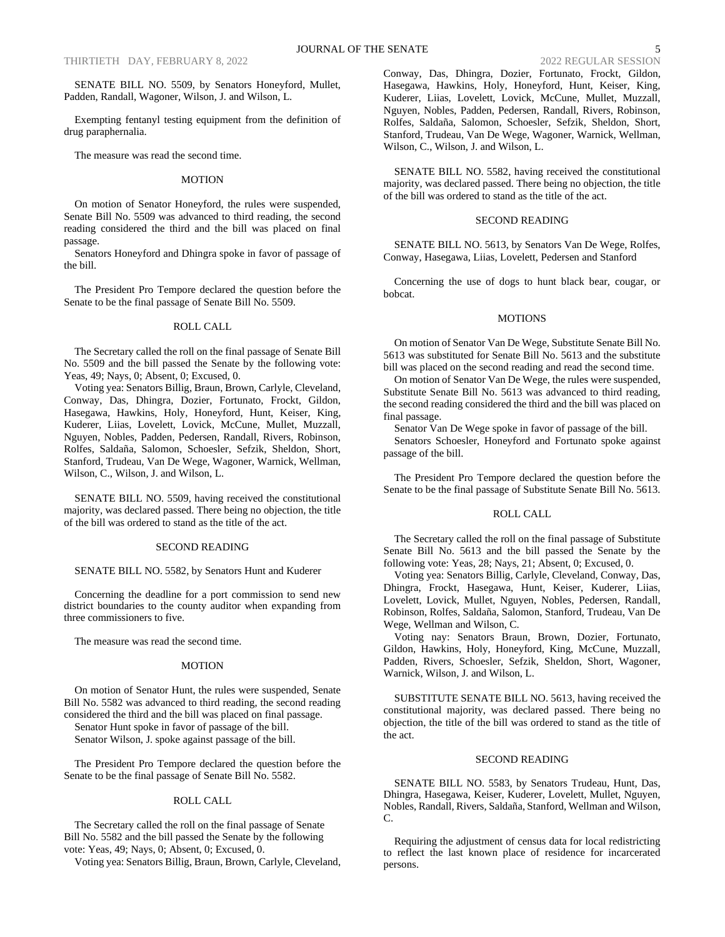SENATE BILL NO. 5509, by Senators Honeyford, Mullet, Padden, Randall, Wagoner, Wilson, J. and Wilson, L.

Exempting fentanyl testing equipment from the definition of drug paraphernalia.

The measure was read the second time.

#### MOTION

On motion of Senator Honeyford, the rules were suspended, Senate Bill No. 5509 was advanced to third reading, the second reading considered the third and the bill was placed on final passage.

Senators Honeyford and Dhingra spoke in favor of passage of the bill.

The President Pro Tempore declared the question before the Senate to be the final passage of Senate Bill No. 5509.

# ROLL CALL

The Secretary called the roll on the final passage of Senate Bill No. 5509 and the bill passed the Senate by the following vote: Yeas, 49; Nays, 0; Absent, 0; Excused, 0.

Voting yea: Senators Billig, Braun, Brown, Carlyle, Cleveland, Conway, Das, Dhingra, Dozier, Fortunato, Frockt, Gildon, Hasegawa, Hawkins, Holy, Honeyford, Hunt, Keiser, King, Kuderer, Liias, Lovelett, Lovick, McCune, Mullet, Muzzall, Nguyen, Nobles, Padden, Pedersen, Randall, Rivers, Robinson, Rolfes, Saldaña, Salomon, Schoesler, Sefzik, Sheldon, Short, Stanford, Trudeau, Van De Wege, Wagoner, Warnick, Wellman, Wilson, C., Wilson, J. and Wilson, L.

SENATE BILL NO. 5509, having received the constitutional majority, was declared passed. There being no objection, the title of the bill was ordered to stand as the title of the act.

#### SECOND READING

SENATE BILL NO. 5582, by Senators Hunt and Kuderer

Concerning the deadline for a port commission to send new district boundaries to the county auditor when expanding from three commissioners to five.

The measure was read the second time.

#### MOTION

On motion of Senator Hunt, the rules were suspended, Senate Bill No. 5582 was advanced to third reading, the second reading considered the third and the bill was placed on final passage.

Senator Hunt spoke in favor of passage of the bill. Senator Wilson, J. spoke against passage of the bill.

The President Pro Tempore declared the question before the Senate to be the final passage of Senate Bill No. 5582.

### ROLL CALL

The Secretary called the roll on the final passage of Senate Bill No. 5582 and the bill passed the Senate by the following vote: Yeas, 49; Nays, 0; Absent, 0; Excused, 0.

Voting yea: Senators Billig, Braun, Brown, Carlyle, Cleveland,

Conway, Das, Dhingra, Dozier, Fortunato, Frockt, Gildon, Hasegawa, Hawkins, Holy, Honeyford, Hunt, Keiser, King, Kuderer, Liias, Lovelett, Lovick, McCune, Mullet, Muzzall, Nguyen, Nobles, Padden, Pedersen, Randall, Rivers, Robinson, Rolfes, Saldaña, Salomon, Schoesler, Sefzik, Sheldon, Short, Stanford, Trudeau, Van De Wege, Wagoner, Warnick, Wellman, Wilson, C., Wilson, J. and Wilson, L.

SENATE BILL NO. 5582, having received the constitutional majority, was declared passed. There being no objection, the title of the bill was ordered to stand as the title of the act.

# SECOND READING

SENATE BILL NO. 5613, by Senators Van De Wege, Rolfes, Conway, Hasegawa, Liias, Lovelett, Pedersen and Stanford

Concerning the use of dogs to hunt black bear, cougar, or bobcat.

### MOTIONS

On motion of Senator Van De Wege, Substitute Senate Bill No. 5613 was substituted for Senate Bill No. 5613 and the substitute bill was placed on the second reading and read the second time.

On motion of Senator Van De Wege, the rules were suspended, Substitute Senate Bill No. 5613 was advanced to third reading, the second reading considered the third and the bill was placed on final passage.

Senator Van De Wege spoke in favor of passage of the bill. Senators Schoesler, Honeyford and Fortunato spoke against passage of the bill.

The President Pro Tempore declared the question before the Senate to be the final passage of Substitute Senate Bill No. 5613.

#### ROLL CALL

The Secretary called the roll on the final passage of Substitute Senate Bill No. 5613 and the bill passed the Senate by the following vote: Yeas, 28; Nays, 21; Absent, 0; Excused, 0.

Voting yea: Senators Billig, Carlyle, Cleveland, Conway, Das, Dhingra, Frockt, Hasegawa, Hunt, Keiser, Kuderer, Liias, Lovelett, Lovick, Mullet, Nguyen, Nobles, Pedersen, Randall, Robinson, Rolfes, Saldaña, Salomon, Stanford, Trudeau, Van De Wege, Wellman and Wilson, C.

Voting nay: Senators Braun, Brown, Dozier, Fortunato, Gildon, Hawkins, Holy, Honeyford, King, McCune, Muzzall, Padden, Rivers, Schoesler, Sefzik, Sheldon, Short, Wagoner, Warnick, Wilson, J. and Wilson, L.

SUBSTITUTE SENATE BILL NO. 5613, having received the constitutional majority, was declared passed. There being no objection, the title of the bill was ordered to stand as the title of the act.

# SECOND READING

SENATE BILL NO. 5583, by Senators Trudeau, Hunt, Das, Dhingra, Hasegawa, Keiser, Kuderer, Lovelett, Mullet, Nguyen, Nobles, Randall, Rivers, Saldaña, Stanford, Wellman and Wilson, C.

Requiring the adjustment of census data for local redistricting to reflect the last known place of residence for incarcerated persons.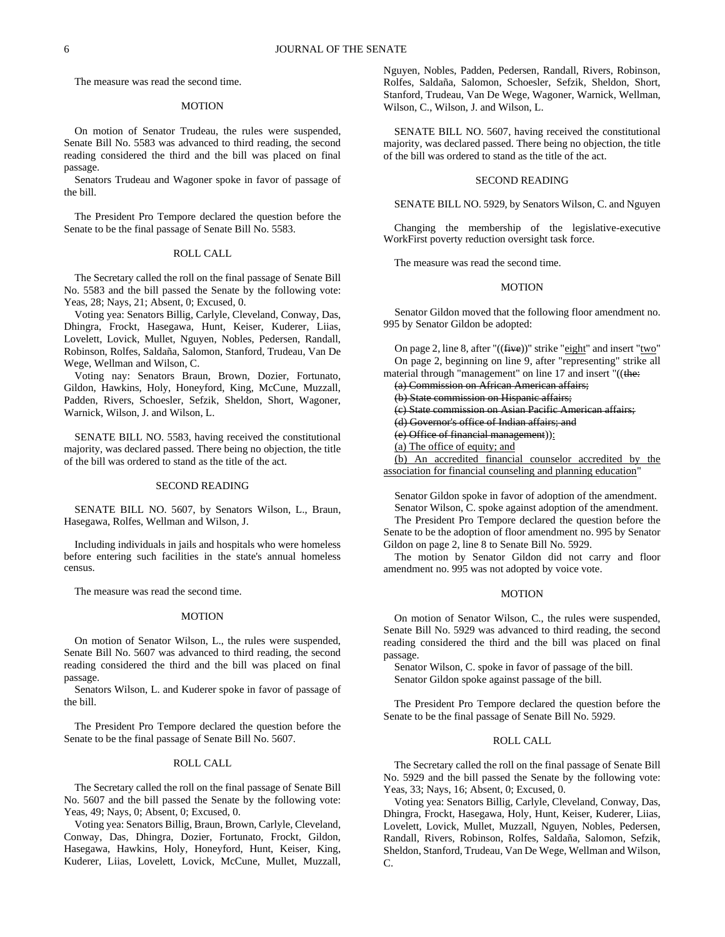The measure was read the second time.

#### MOTION

On motion of Senator Trudeau, the rules were suspended, Senate Bill No. 5583 was advanced to third reading, the second reading considered the third and the bill was placed on final passage.

Senators Trudeau and Wagoner spoke in favor of passage of the bill.

The President Pro Tempore declared the question before the Senate to be the final passage of Senate Bill No. 5583.

#### ROLL CALL

The Secretary called the roll on the final passage of Senate Bill No. 5583 and the bill passed the Senate by the following vote: Yeas, 28; Nays, 21; Absent, 0; Excused, 0.

Voting yea: Senators Billig, Carlyle, Cleveland, Conway, Das, Dhingra, Frockt, Hasegawa, Hunt, Keiser, Kuderer, Liias, Lovelett, Lovick, Mullet, Nguyen, Nobles, Pedersen, Randall, Robinson, Rolfes, Saldaña, Salomon, Stanford, Trudeau, Van De Wege, Wellman and Wilson, C.

Voting nay: Senators Braun, Brown, Dozier, Fortunato, Gildon, Hawkins, Holy, Honeyford, King, McCune, Muzzall, Padden, Rivers, Schoesler, Sefzik, Sheldon, Short, Wagoner, Warnick, Wilson, J. and Wilson, L.

SENATE BILL NO. 5583, having received the constitutional majority, was declared passed. There being no objection, the title of the bill was ordered to stand as the title of the act.

#### SECOND READING

SENATE BILL NO. 5607, by Senators Wilson, L., Braun, Hasegawa, Rolfes, Wellman and Wilson, J.

Including individuals in jails and hospitals who were homeless before entering such facilities in the state's annual homeless census.

The measure was read the second time.

#### MOTION

On motion of Senator Wilson, L., the rules were suspended, Senate Bill No. 5607 was advanced to third reading, the second reading considered the third and the bill was placed on final passage.

Senators Wilson, L. and Kuderer spoke in favor of passage of the bill.

The President Pro Tempore declared the question before the Senate to be the final passage of Senate Bill No. 5607.

#### ROLL CALL

The Secretary called the roll on the final passage of Senate Bill No. 5607 and the bill passed the Senate by the following vote: Yeas, 49; Nays, 0; Absent, 0; Excused, 0.

Voting yea: Senators Billig, Braun, Brown, Carlyle, Cleveland, Conway, Das, Dhingra, Dozier, Fortunato, Frockt, Gildon, Hasegawa, Hawkins, Holy, Honeyford, Hunt, Keiser, King, Kuderer, Liias, Lovelett, Lovick, McCune, Mullet, Muzzall,

Nguyen, Nobles, Padden, Pedersen, Randall, Rivers, Robinson, Rolfes, Saldaña, Salomon, Schoesler, Sefzik, Sheldon, Short, Stanford, Trudeau, Van De Wege, Wagoner, Warnick, Wellman, Wilson, C., Wilson, J. and Wilson, L.

SENATE BILL NO. 5607, having received the constitutional majority, was declared passed. There being no objection, the title of the bill was ordered to stand as the title of the act.

#### SECOND READING

SENATE BILL NO. 5929, by Senators Wilson, C. and Nguyen

Changing the membership of the legislative-executive WorkFirst poverty reduction oversight task force.

The measure was read the second time.

# MOTION

Senator Gildon moved that the following floor amendment no. 995 by Senator Gildon be adopted:

| On page 2, line 8, after " $((\text{five}))$ " strike "eight" and insert "two" |
|--------------------------------------------------------------------------------|
| On page 2, beginning on line 9, after "representing" strike all                |
| material through "management" on line 17 and insert "((the:                    |
| (a) Commission on African American affairs;                                    |
| (b) State commission on Hispanic affairs:                                      |
| (c) State commission on Asian Pacific American affairs:                        |
| (d) Governor's office of Indian affairs; and                                   |
| (e) Office of financial management)):                                          |
| (a) The office of equity; and                                                  |
| An accredited financial counselor accredited by the                            |
| association for financial counseling and planning education"                   |

Senator Gildon spoke in favor of adoption of the amendment. Senator Wilson, C. spoke against adoption of the amendment. The President Pro Tempore declared the question before the Senate to be the adoption of floor amendment no. 995 by Senator

Gildon on page 2, line 8 to Senate Bill No. 5929. The motion by Senator Gildon did not carry and floor amendment no. 995 was not adopted by voice vote.

### MOTION

On motion of Senator Wilson, C., the rules were suspended, Senate Bill No. 5929 was advanced to third reading, the second reading considered the third and the bill was placed on final passage.

Senator Wilson, C. spoke in favor of passage of the bill. Senator Gildon spoke against passage of the bill.

The President Pro Tempore declared the question before the Senate to be the final passage of Senate Bill No. 5929.

### ROLL CALL

The Secretary called the roll on the final passage of Senate Bill No. 5929 and the bill passed the Senate by the following vote: Yeas, 33; Nays, 16; Absent, 0; Excused, 0.

Voting yea: Senators Billig, Carlyle, Cleveland, Conway, Das, Dhingra, Frockt, Hasegawa, Holy, Hunt, Keiser, Kuderer, Liias, Lovelett, Lovick, Mullet, Muzzall, Nguyen, Nobles, Pedersen, Randall, Rivers, Robinson, Rolfes, Saldaña, Salomon, Sefzik, Sheldon, Stanford, Trudeau, Van De Wege, Wellman and Wilson, C.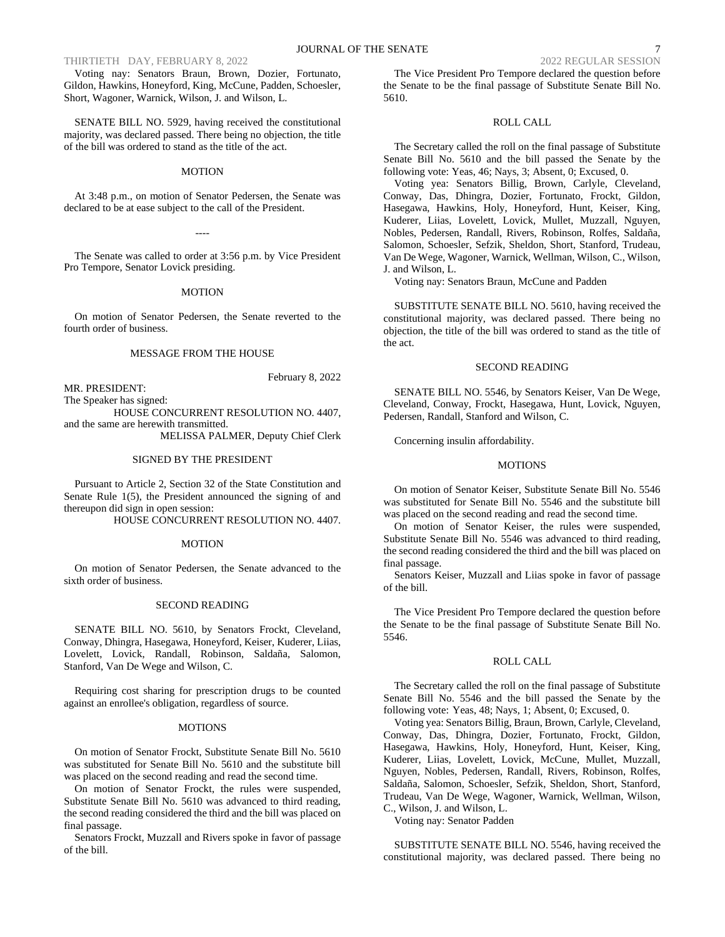THIRTIETH DAY, FEBRUARY 8, 2022 2022 REGULAR SESSION

Voting nay: Senators Braun, Brown, Dozier, Fortunato, Gildon, Hawkins, Honeyford, King, McCune, Padden, Schoesler, Short, Wagoner, Warnick, Wilson, J. and Wilson, L.

SENATE BILL NO. 5929, having received the constitutional majority, was declared passed. There being no objection, the title of the bill was ordered to stand as the title of the act.

#### MOTION

At 3:48 p.m., on motion of Senator Pedersen, the Senate was declared to be at ease subject to the call of the President.

The Senate was called to order at 3:56 p.m. by Vice President Pro Tempore, Senator Lovick presiding.

----

# MOTION

On motion of Senator Pedersen, the Senate reverted to the fourth order of business.

# MESSAGE FROM THE HOUSE

MR. PRESIDENT: The Speaker has signed:

HOUSE CONCURRENT RESOLUTION NO. 4407, and the same are herewith transmitted.

MELISSA PALMER, Deputy Chief Clerk

February 8, 2022

#### SIGNED BY THE PRESIDENT

Pursuant to Article 2, Section 32 of the State Constitution and Senate Rule 1(5), the President announced the signing of and thereupon did sign in open session:

HOUSE CONCURRENT RESOLUTION NO. 4407.

#### MOTION

On motion of Senator Pedersen, the Senate advanced to the sixth order of business.

#### SECOND READING

SENATE BILL NO. 5610, by Senators Frockt, Cleveland, Conway, Dhingra, Hasegawa, Honeyford, Keiser, Kuderer, Liias, Lovelett, Lovick, Randall, Robinson, Saldaña, Salomon, Stanford, Van De Wege and Wilson, C.

Requiring cost sharing for prescription drugs to be counted against an enrollee's obligation, regardless of source.

#### MOTIONS

On motion of Senator Frockt, Substitute Senate Bill No. 5610 was substituted for Senate Bill No. 5610 and the substitute bill was placed on the second reading and read the second time.

On motion of Senator Frockt, the rules were suspended, Substitute Senate Bill No. 5610 was advanced to third reading, the second reading considered the third and the bill was placed on final passage.

Senators Frockt, Muzzall and Rivers spoke in favor of passage of the bill.

The Vice President Pro Tempore declared the question before the Senate to be the final passage of Substitute Senate Bill No. 5610.

# ROLL CALL

The Secretary called the roll on the final passage of Substitute Senate Bill No. 5610 and the bill passed the Senate by the following vote: Yeas, 46; Nays, 3; Absent, 0; Excused, 0.

Voting yea: Senators Billig, Brown, Carlyle, Cleveland, Conway, Das, Dhingra, Dozier, Fortunato, Frockt, Gildon, Hasegawa, Hawkins, Holy, Honeyford, Hunt, Keiser, King, Kuderer, Liias, Lovelett, Lovick, Mullet, Muzzall, Nguyen, Nobles, Pedersen, Randall, Rivers, Robinson, Rolfes, Saldaña, Salomon, Schoesler, Sefzik, Sheldon, Short, Stanford, Trudeau, Van De Wege, Wagoner, Warnick, Wellman, Wilson, C., Wilson, J. and Wilson, L.

Voting nay: Senators Braun, McCune and Padden

SUBSTITUTE SENATE BILL NO. 5610, having received the constitutional majority, was declared passed. There being no objection, the title of the bill was ordered to stand as the title of the act.

### SECOND READING

SENATE BILL NO. 5546, by Senators Keiser, Van De Wege, Cleveland, Conway, Frockt, Hasegawa, Hunt, Lovick, Nguyen, Pedersen, Randall, Stanford and Wilson, C.

Concerning insulin affordability.

#### **MOTIONS**

On motion of Senator Keiser, Substitute Senate Bill No. 5546 was substituted for Senate Bill No. 5546 and the substitute bill was placed on the second reading and read the second time.

On motion of Senator Keiser, the rules were suspended, Substitute Senate Bill No. 5546 was advanced to third reading, the second reading considered the third and the bill was placed on final passage.

Senators Keiser, Muzzall and Liias spoke in favor of passage of the bill.

The Vice President Pro Tempore declared the question before the Senate to be the final passage of Substitute Senate Bill No. 5546.

#### ROLL CALL

The Secretary called the roll on the final passage of Substitute Senate Bill No. 5546 and the bill passed the Senate by the following vote: Yeas, 48; Nays, 1; Absent, 0; Excused, 0.

Voting yea: Senators Billig, Braun, Brown, Carlyle, Cleveland, Conway, Das, Dhingra, Dozier, Fortunato, Frockt, Gildon, Hasegawa, Hawkins, Holy, Honeyford, Hunt, Keiser, King, Kuderer, Liias, Lovelett, Lovick, McCune, Mullet, Muzzall, Nguyen, Nobles, Pedersen, Randall, Rivers, Robinson, Rolfes, Saldaña, Salomon, Schoesler, Sefzik, Sheldon, Short, Stanford, Trudeau, Van De Wege, Wagoner, Warnick, Wellman, Wilson, C., Wilson, J. and Wilson, L.

Voting nay: Senator Padden

SUBSTITUTE SENATE BILL NO. 5546, having received the constitutional majority, was declared passed. There being no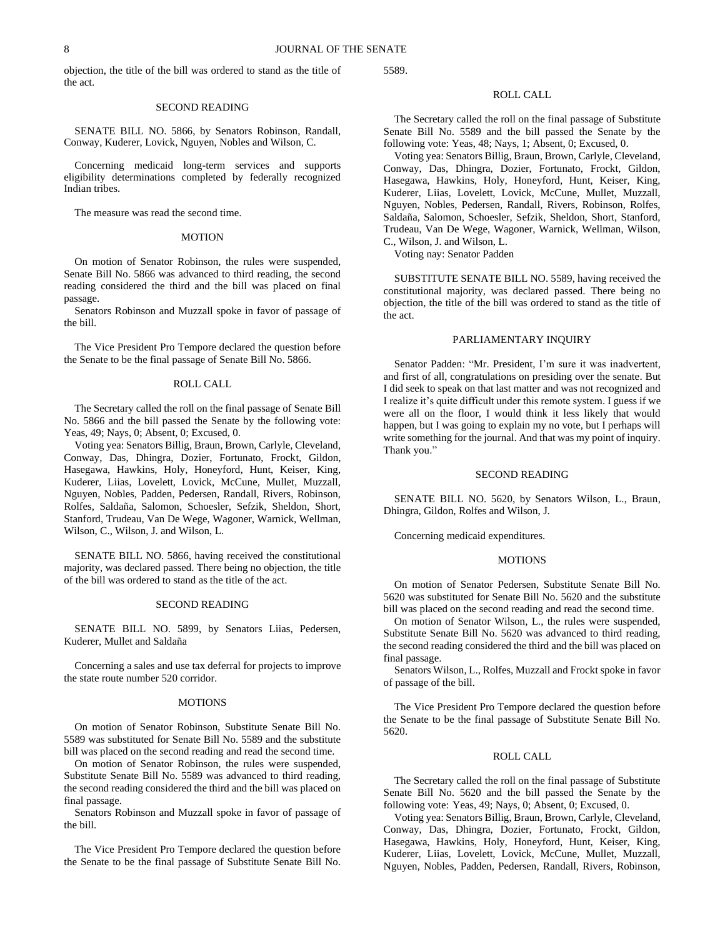objection, the title of the bill was ordered to stand as the title of the act.

#### SECOND READING

SENATE BILL NO. 5866, by Senators Robinson, Randall, Conway, Kuderer, Lovick, Nguyen, Nobles and Wilson, C.

Concerning medicaid long-term services and supports eligibility determinations completed by federally recognized Indian tribes.

The measure was read the second time.

#### **MOTION**

On motion of Senator Robinson, the rules were suspended, Senate Bill No. 5866 was advanced to third reading, the second reading considered the third and the bill was placed on final passage.

Senators Robinson and Muzzall spoke in favor of passage of the bill.

The Vice President Pro Tempore declared the question before the Senate to be the final passage of Senate Bill No. 5866.

# ROLL CALL

The Secretary called the roll on the final passage of Senate Bill No. 5866 and the bill passed the Senate by the following vote: Yeas, 49; Nays, 0; Absent, 0; Excused, 0.

Voting yea: Senators Billig, Braun, Brown, Carlyle, Cleveland, Conway, Das, Dhingra, Dozier, Fortunato, Frockt, Gildon, Hasegawa, Hawkins, Holy, Honeyford, Hunt, Keiser, King, Kuderer, Liias, Lovelett, Lovick, McCune, Mullet, Muzzall, Nguyen, Nobles, Padden, Pedersen, Randall, Rivers, Robinson, Rolfes, Saldaña, Salomon, Schoesler, Sefzik, Sheldon, Short, Stanford, Trudeau, Van De Wege, Wagoner, Warnick, Wellman, Wilson, C., Wilson, J. and Wilson, L.

SENATE BILL NO. 5866, having received the constitutional majority, was declared passed. There being no objection, the title of the bill was ordered to stand as the title of the act.

#### SECOND READING

SENATE BILL NO. 5899, by Senators Liias, Pedersen, Kuderer, Mullet and Saldaña

Concerning a sales and use tax deferral for projects to improve the state route number 520 corridor.

# **MOTIONS**

On motion of Senator Robinson, Substitute Senate Bill No. 5589 was substituted for Senate Bill No. 5589 and the substitute bill was placed on the second reading and read the second time.

On motion of Senator Robinson, the rules were suspended, Substitute Senate Bill No. 5589 was advanced to third reading, the second reading considered the third and the bill was placed on final passage.

Senators Robinson and Muzzall spoke in favor of passage of the bill.

The Vice President Pro Tempore declared the question before the Senate to be the final passage of Substitute Senate Bill No.

5589.

# ROLL CALL

The Secretary called the roll on the final passage of Substitute Senate Bill No. 5589 and the bill passed the Senate by the following vote: Yeas, 48; Nays, 1; Absent, 0; Excused, 0.

Voting yea: Senators Billig, Braun, Brown, Carlyle, Cleveland, Conway, Das, Dhingra, Dozier, Fortunato, Frockt, Gildon, Hasegawa, Hawkins, Holy, Honeyford, Hunt, Keiser, King, Kuderer, Liias, Lovelett, Lovick, McCune, Mullet, Muzzall, Nguyen, Nobles, Pedersen, Randall, Rivers, Robinson, Rolfes, Saldaña, Salomon, Schoesler, Sefzik, Sheldon, Short, Stanford, Trudeau, Van De Wege, Wagoner, Warnick, Wellman, Wilson, C., Wilson, J. and Wilson, L.

Voting nay: Senator Padden

SUBSTITUTE SENATE BILL NO. 5589, having received the constitutional majority, was declared passed. There being no objection, the title of the bill was ordered to stand as the title of the act.

#### PARLIAMENTARY INQUIRY

Senator Padden: "Mr. President, I'm sure it was inadvertent, and first of all, congratulations on presiding over the senate. But I did seek to speak on that last matter and was not recognized and I realize it's quite difficult under this remote system. I guess if we were all on the floor, I would think it less likely that would happen, but I was going to explain my no vote, but I perhaps will write something for the journal. And that was my point of inquiry. Thank you."

#### SECOND READING

SENATE BILL NO. 5620, by Senators Wilson, L., Braun, Dhingra, Gildon, Rolfes and Wilson, J.

Concerning medicaid expenditures.

# **MOTIONS**

On motion of Senator Pedersen, Substitute Senate Bill No. 5620 was substituted for Senate Bill No. 5620 and the substitute bill was placed on the second reading and read the second time.

On motion of Senator Wilson, L., the rules were suspended, Substitute Senate Bill No. 5620 was advanced to third reading, the second reading considered the third and the bill was placed on final passage.

Senators Wilson, L., Rolfes, Muzzall and Frockt spoke in favor of passage of the bill.

The Vice President Pro Tempore declared the question before the Senate to be the final passage of Substitute Senate Bill No. 5620.

# ROLL CALL

The Secretary called the roll on the final passage of Substitute Senate Bill No. 5620 and the bill passed the Senate by the following vote: Yeas, 49; Nays, 0; Absent, 0; Excused, 0.

Voting yea: Senators Billig, Braun, Brown, Carlyle, Cleveland, Conway, Das, Dhingra, Dozier, Fortunato, Frockt, Gildon, Hasegawa, Hawkins, Holy, Honeyford, Hunt, Keiser, King, Kuderer, Liias, Lovelett, Lovick, McCune, Mullet, Muzzall, Nguyen, Nobles, Padden, Pedersen, Randall, Rivers, Robinson,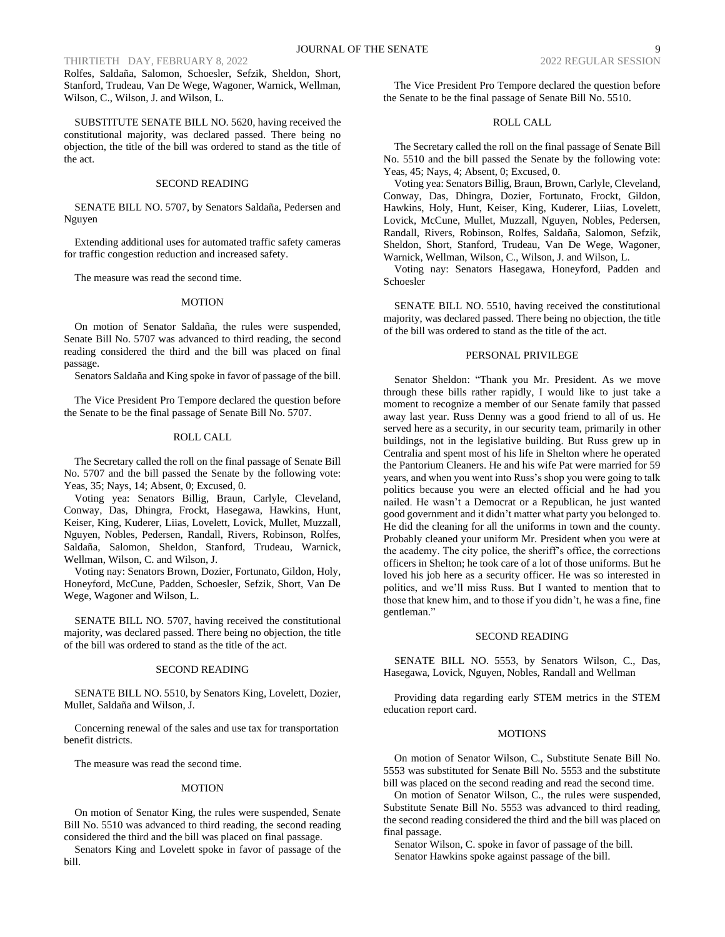# THIRTIETH DAY, FEBRUARY 8, 2022 2022 REGULAR SESSION

Rolfes, Saldaña, Salomon, Schoesler, Sefzik, Sheldon, Short, Stanford, Trudeau, Van De Wege, Wagoner, Warnick, Wellman, Wilson, C., Wilson, J. and Wilson, L.

SUBSTITUTE SENATE BILL NO. 5620, having received the constitutional majority, was declared passed. There being no objection, the title of the bill was ordered to stand as the title of the act.

#### SECOND READING

SENATE BILL NO. 5707, by Senators Saldaña, Pedersen and Nguyen

Extending additional uses for automated traffic safety cameras for traffic congestion reduction and increased safety.

The measure was read the second time.

#### MOTION

On motion of Senator Saldaña, the rules were suspended, Senate Bill No. 5707 was advanced to third reading, the second reading considered the third and the bill was placed on final passage.

Senators Saldaña and King spoke in favor of passage of the bill.

The Vice President Pro Tempore declared the question before the Senate to be the final passage of Senate Bill No. 5707.

#### ROLL CALL

The Secretary called the roll on the final passage of Senate Bill No. 5707 and the bill passed the Senate by the following vote: Yeas, 35; Nays, 14; Absent, 0; Excused, 0.

Voting yea: Senators Billig, Braun, Carlyle, Cleveland, Conway, Das, Dhingra, Frockt, Hasegawa, Hawkins, Hunt, Keiser, King, Kuderer, Liias, Lovelett, Lovick, Mullet, Muzzall, Nguyen, Nobles, Pedersen, Randall, Rivers, Robinson, Rolfes, Saldaña, Salomon, Sheldon, Stanford, Trudeau, Warnick, Wellman, Wilson, C. and Wilson, J.

Voting nay: Senators Brown, Dozier, Fortunato, Gildon, Holy, Honeyford, McCune, Padden, Schoesler, Sefzik, Short, Van De Wege, Wagoner and Wilson, L.

SENATE BILL NO. 5707, having received the constitutional majority, was declared passed. There being no objection, the title of the bill was ordered to stand as the title of the act.

#### SECOND READING

SENATE BILL NO. 5510, by Senators King, Lovelett, Dozier, Mullet, Saldaña and Wilson, J.

Concerning renewal of the sales and use tax for transportation benefit districts.

The measure was read the second time.

### MOTION

On motion of Senator King, the rules were suspended, Senate Bill No. 5510 was advanced to third reading, the second reading considered the third and the bill was placed on final passage.

Senators King and Lovelett spoke in favor of passage of the bill.

The Vice President Pro Tempore declared the question before the Senate to be the final passage of Senate Bill No. 5510.

# ROLL CALL

The Secretary called the roll on the final passage of Senate Bill No. 5510 and the bill passed the Senate by the following vote: Yeas, 45; Nays, 4; Absent, 0; Excused, 0.

Voting yea: Senators Billig, Braun, Brown, Carlyle, Cleveland, Conway, Das, Dhingra, Dozier, Fortunato, Frockt, Gildon, Hawkins, Holy, Hunt, Keiser, King, Kuderer, Liias, Lovelett, Lovick, McCune, Mullet, Muzzall, Nguyen, Nobles, Pedersen, Randall, Rivers, Robinson, Rolfes, Saldaña, Salomon, Sefzik, Sheldon, Short, Stanford, Trudeau, Van De Wege, Wagoner, Warnick, Wellman, Wilson, C., Wilson, J. and Wilson, L.

Voting nay: Senators Hasegawa, Honeyford, Padden and Schoesler

SENATE BILL NO. 5510, having received the constitutional majority, was declared passed. There being no objection, the title of the bill was ordered to stand as the title of the act.

#### PERSONAL PRIVILEGE

Senator Sheldon: "Thank you Mr. President. As we move through these bills rather rapidly, I would like to just take a moment to recognize a member of our Senate family that passed away last year. Russ Denny was a good friend to all of us. He served here as a security, in our security team, primarily in other buildings, not in the legislative building. But Russ grew up in Centralia and spent most of his life in Shelton where he operated the Pantorium Cleaners. He and his wife Pat were married for 59 years, and when you went into Russ's shop you were going to talk politics because you were an elected official and he had you nailed. He wasn't a Democrat or a Republican, he just wanted good government and it didn't matter what party you belonged to. He did the cleaning for all the uniforms in town and the county. Probably cleaned your uniform Mr. President when you were at the academy. The city police, the sheriff's office, the corrections officers in Shelton; he took care of a lot of those uniforms. But he loved his job here as a security officer. He was so interested in politics, and we'll miss Russ. But I wanted to mention that to those that knew him, and to those if you didn't, he was a fine, fine gentleman."

### SECOND READING

SENATE BILL NO. 5553, by Senators Wilson, C., Das, Hasegawa, Lovick, Nguyen, Nobles, Randall and Wellman

Providing data regarding early STEM metrics in the STEM education report card.

#### **MOTIONS**

On motion of Senator Wilson, C., Substitute Senate Bill No. 5553 was substituted for Senate Bill No. 5553 and the substitute bill was placed on the second reading and read the second time.

On motion of Senator Wilson, C., the rules were suspended, Substitute Senate Bill No. 5553 was advanced to third reading, the second reading considered the third and the bill was placed on final passage.

Senator Wilson, C. spoke in favor of passage of the bill. Senator Hawkins spoke against passage of the bill.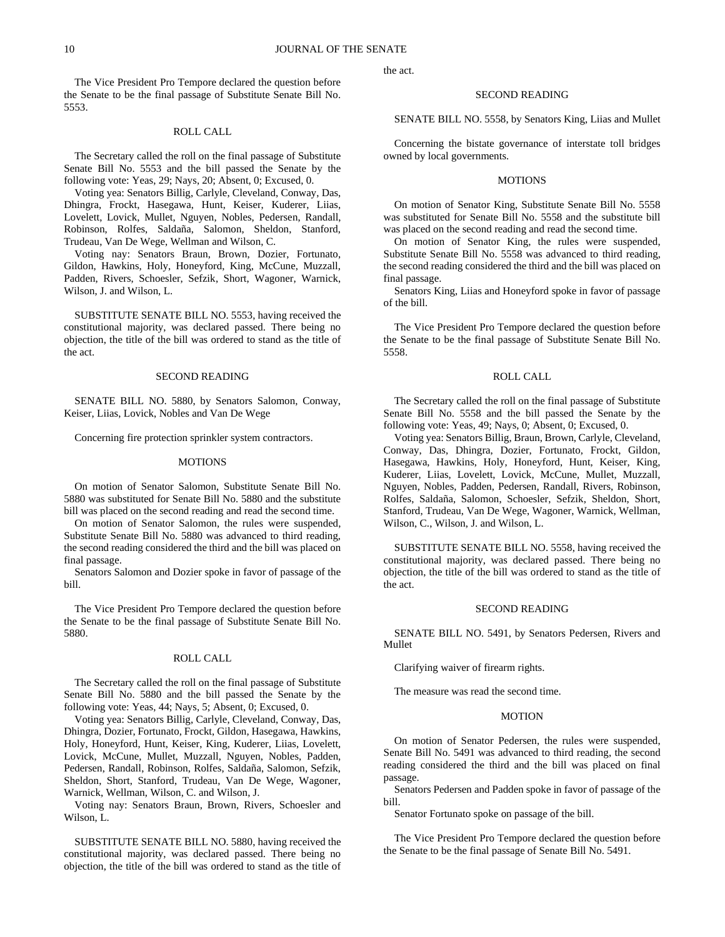The Vice President Pro Tempore declared the question before the Senate to be the final passage of Substitute Senate Bill No. 5553.

# ROLL CALL

The Secretary called the roll on the final passage of Substitute Senate Bill No. 5553 and the bill passed the Senate by the following vote: Yeas, 29; Nays, 20; Absent, 0; Excused, 0.

Voting yea: Senators Billig, Carlyle, Cleveland, Conway, Das, Dhingra, Frockt, Hasegawa, Hunt, Keiser, Kuderer, Liias, Lovelett, Lovick, Mullet, Nguyen, Nobles, Pedersen, Randall, Robinson, Rolfes, Saldaña, Salomon, Sheldon, Stanford, Trudeau, Van De Wege, Wellman and Wilson, C.

Voting nay: Senators Braun, Brown, Dozier, Fortunato, Gildon, Hawkins, Holy, Honeyford, King, McCune, Muzzall, Padden, Rivers, Schoesler, Sefzik, Short, Wagoner, Warnick, Wilson, J. and Wilson, L.

SUBSTITUTE SENATE BILL NO. 5553, having received the constitutional majority, was declared passed. There being no objection, the title of the bill was ordered to stand as the title of the act.

### SECOND READING

SENATE BILL NO. 5880, by Senators Salomon, Conway, Keiser, Liias, Lovick, Nobles and Van De Wege

Concerning fire protection sprinkler system contractors.

### **MOTIONS**

On motion of Senator Salomon, Substitute Senate Bill No. 5880 was substituted for Senate Bill No. 5880 and the substitute bill was placed on the second reading and read the second time.

On motion of Senator Salomon, the rules were suspended, Substitute Senate Bill No. 5880 was advanced to third reading, the second reading considered the third and the bill was placed on final passage.

Senators Salomon and Dozier spoke in favor of passage of the bill.

The Vice President Pro Tempore declared the question before the Senate to be the final passage of Substitute Senate Bill No. 5880.

# ROLL CALL

The Secretary called the roll on the final passage of Substitute Senate Bill No. 5880 and the bill passed the Senate by the following vote: Yeas, 44; Nays, 5; Absent, 0; Excused, 0.

Voting yea: Senators Billig, Carlyle, Cleveland, Conway, Das, Dhingra, Dozier, Fortunato, Frockt, Gildon, Hasegawa, Hawkins, Holy, Honeyford, Hunt, Keiser, King, Kuderer, Liias, Lovelett, Lovick, McCune, Mullet, Muzzall, Nguyen, Nobles, Padden, Pedersen, Randall, Robinson, Rolfes, Saldaña, Salomon, Sefzik, Sheldon, Short, Stanford, Trudeau, Van De Wege, Wagoner, Warnick, Wellman, Wilson, C. and Wilson, J.

Voting nay: Senators Braun, Brown, Rivers, Schoesler and Wilson, L.

SUBSTITUTE SENATE BILL NO. 5880, having received the constitutional majority, was declared passed. There being no objection, the title of the bill was ordered to stand as the title of the act.

#### SECOND READING

SENATE BILL NO. 5558, by Senators King, Liias and Mullet

Concerning the bistate governance of interstate toll bridges owned by local governments.

#### MOTIONS

On motion of Senator King, Substitute Senate Bill No. 5558 was substituted for Senate Bill No. 5558 and the substitute bill was placed on the second reading and read the second time.

On motion of Senator King, the rules were suspended, Substitute Senate Bill No. 5558 was advanced to third reading, the second reading considered the third and the bill was placed on final passage.

Senators King, Liias and Honeyford spoke in favor of passage of the bill.

The Vice President Pro Tempore declared the question before the Senate to be the final passage of Substitute Senate Bill No. 5558.

# ROLL CALL

The Secretary called the roll on the final passage of Substitute Senate Bill No. 5558 and the bill passed the Senate by the following vote: Yeas, 49; Nays, 0; Absent, 0; Excused, 0.

Voting yea: Senators Billig, Braun, Brown, Carlyle, Cleveland, Conway, Das, Dhingra, Dozier, Fortunato, Frockt, Gildon, Hasegawa, Hawkins, Holy, Honeyford, Hunt, Keiser, King, Kuderer, Liias, Lovelett, Lovick, McCune, Mullet, Muzzall, Nguyen, Nobles, Padden, Pedersen, Randall, Rivers, Robinson, Rolfes, Saldaña, Salomon, Schoesler, Sefzik, Sheldon, Short, Stanford, Trudeau, Van De Wege, Wagoner, Warnick, Wellman, Wilson, C., Wilson, J. and Wilson, L.

SUBSTITUTE SENATE BILL NO. 5558, having received the constitutional majority, was declared passed. There being no objection, the title of the bill was ordered to stand as the title of the act.

#### SECOND READING

SENATE BILL NO. 5491, by Senators Pedersen, Rivers and Mullet

Clarifying waiver of firearm rights.

The measure was read the second time.

# MOTION

On motion of Senator Pedersen, the rules were suspended, Senate Bill No. 5491 was advanced to third reading, the second reading considered the third and the bill was placed on final passage.

Senators Pedersen and Padden spoke in favor of passage of the bill.

Senator Fortunato spoke on passage of the bill.

The Vice President Pro Tempore declared the question before the Senate to be the final passage of Senate Bill No. 5491.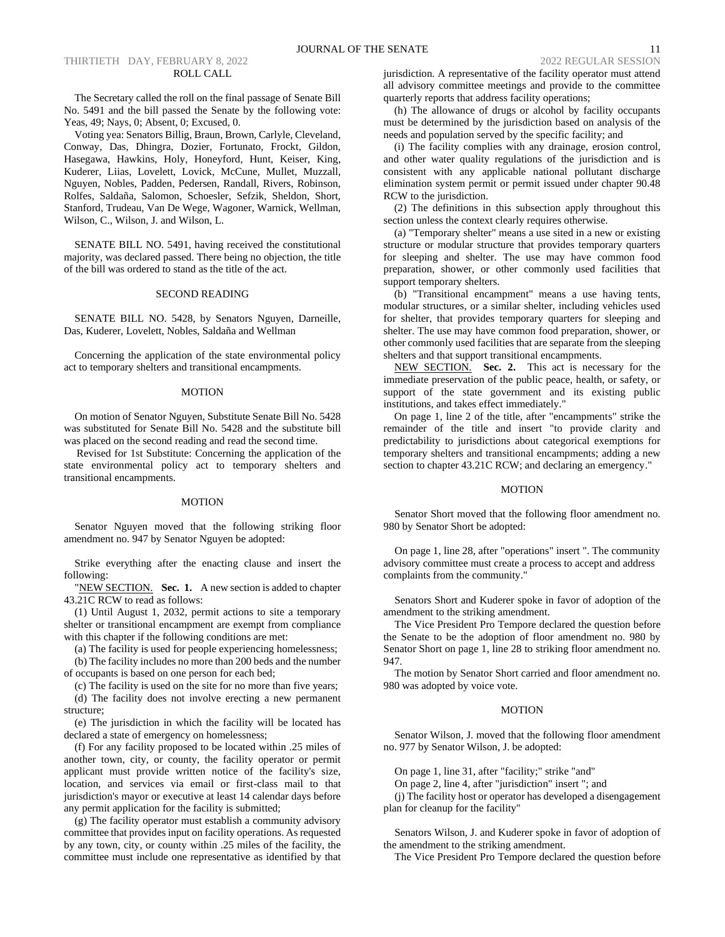# THIRTIETH DAY, FEBRUARY 8, 2022 2022 2022 REGULAR SESSION ROLL CALL

The Secretary called the roll on the final passage of Senate Bill No. 5491 and the bill passed the Senate by the following vote: Yeas, 49; Nays, 0; Absent, 0; Excused, 0.

Voting yea: Senators Billig, Braun, Brown, Carlyle, Cleveland, Conway, Das, Dhingra, Dozier, Fortunato, Frockt, Gildon, Hasegawa, Hawkins, Holy, Honeyford, Hunt, Keiser, King, Kuderer, Liias, Lovelett, Lovick, McCune, Mullet, Muzzall, Nguyen, Nobles, Padden, Pedersen, Randall, Rivers, Robinson, Rolfes, Saldaña, Salomon, Schoesler, Sefzik, Sheldon, Short, Stanford, Trudeau, Van De Wege, Wagoner, Warnick, Wellman, Wilson, C., Wilson, J. and Wilson, L.

SENATE BILL NO. 5491, having received the constitutional majority, was declared passed. There being no objection, the title of the bill was ordered to stand as the title of the act.

# SECOND READING

SENATE BILL NO. 5428, by Senators Nguyen, Darneille, Das, Kuderer, Lovelett, Nobles, Saldaña and Wellman

Concerning the application of the state environmental policy act to temporary shelters and transitional encampments.

#### MOTION

On motion of Senator Nguyen, Substitute Senate Bill No. 5428 was substituted for Senate Bill No. 5428 and the substitute bill was placed on the second reading and read the second time.

Revised for 1st Substitute: Concerning the application of the state environmental policy act to temporary shelters and transitional encampments.

#### MOTION

Senator Nguyen moved that the following striking floor amendment no. 947 by Senator Nguyen be adopted:

Strike everything after the enacting clause and insert the following:

"NEW SECTION. **Sec. 1.** A new section is added to chapter 43.21C RCW to read as follows:

(1) Until August 1, 2032, permit actions to site a temporary shelter or transitional encampment are exempt from compliance with this chapter if the following conditions are met:

(a) The facility is used for people experiencing homelessness;

(b) The facility includes no more than 200 beds and the number of occupants is based on one person for each bed;

(c) The facility is used on the site for no more than five years;

(d) The facility does not involve erecting a new permanent structure;

(e) The jurisdiction in which the facility will be located has declared a state of emergency on homelessness;

(f) For any facility proposed to be located within .25 miles of another town, city, or county, the facility operator or permit applicant must provide written notice of the facility's size, location, and services via email or first-class mail to that jurisdiction's mayor or executive at least 14 calendar days before any permit application for the facility is submitted;

(g) The facility operator must establish a community advisory committee that provides input on facility operations. As requested by any town, city, or county within .25 miles of the facility, the committee must include one representative as identified by that jurisdiction. A representative of the facility operator must attend all advisory committee meetings and provide to the committee quarterly reports that address facility operations;

(h) The allowance of drugs or alcohol by facility occupants must be determined by the jurisdiction based on analysis of the needs and population served by the specific facility; and

(i) The facility complies with any drainage, erosion control, and other water quality regulations of the jurisdiction and is consistent with any applicable national pollutant discharge elimination system permit or permit issued under chapter 90.48 RCW to the jurisdiction.

(2) The definitions in this subsection apply throughout this section unless the context clearly requires otherwise.

(a) "Temporary shelter" means a use sited in a new or existing structure or modular structure that provides temporary quarters for sleeping and shelter. The use may have common food preparation, shower, or other commonly used facilities that support temporary shelters.

(b) "Transitional encampment" means a use having tents, modular structures, or a similar shelter, including vehicles used for shelter, that provides temporary quarters for sleeping and shelter. The use may have common food preparation, shower, or other commonly used facilities that are separate from the sleeping shelters and that support transitional encampments.

NEW SECTION. **Sec. 2.** This act is necessary for the immediate preservation of the public peace, health, or safety, or support of the state government and its existing public institutions, and takes effect immediately."

On page 1, line 2 of the title, after "encampments" strike the remainder of the title and insert "to provide clarity and predictability to jurisdictions about categorical exemptions for temporary shelters and transitional encampments; adding a new section to chapter 43.21C RCW; and declaring an emergency."

#### MOTION

Senator Short moved that the following floor amendment no. 980 by Senator Short be adopted:

On page 1, line 28, after "operations" insert ". The community advisory committee must create a process to accept and address complaints from the community."

Senators Short and Kuderer spoke in favor of adoption of the amendment to the striking amendment.

The Vice President Pro Tempore declared the question before the Senate to be the adoption of floor amendment no. 980 by Senator Short on page 1, line 28 to striking floor amendment no. 947.

The motion by Senator Short carried and floor amendment no. 980 was adopted by voice vote.

# MOTION

Senator Wilson, J. moved that the following floor amendment no. 977 by Senator Wilson, J. be adopted:

On page 1, line 31, after "facility;" strike "and"

On page 2, line 4, after "jurisdiction" insert "; and

(j) The facility host or operator has developed a disengagement plan for cleanup for the facility"

Senators Wilson, J. and Kuderer spoke in favor of adoption of the amendment to the striking amendment.

The Vice President Pro Tempore declared the question before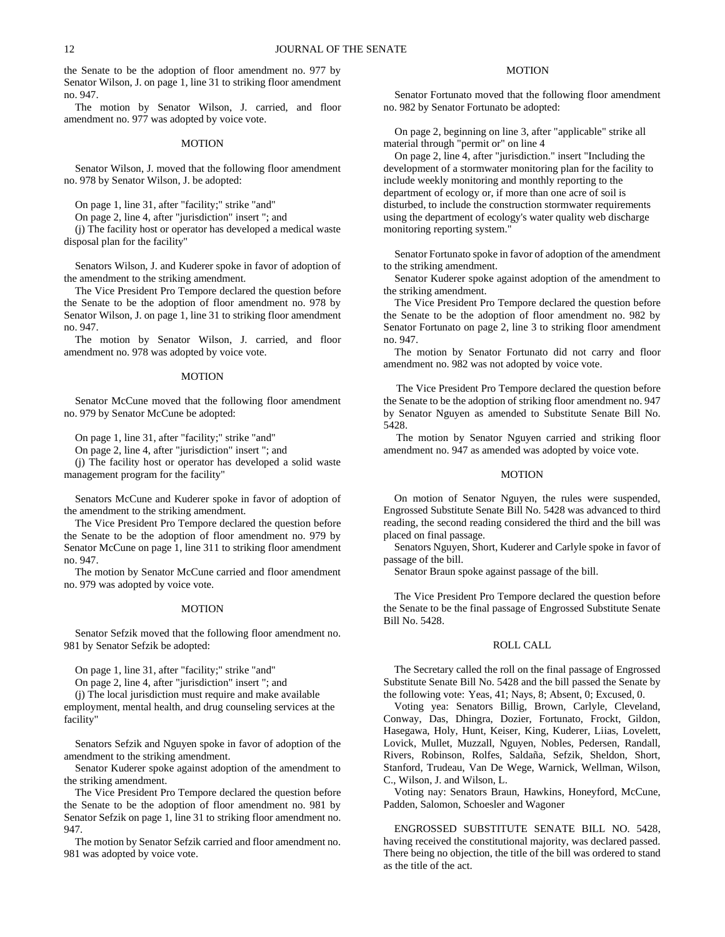the Senate to be the adoption of floor amendment no. 977 by Senator Wilson, J. on page 1, line 31 to striking floor amendment no. 947.

The motion by Senator Wilson, J. carried, and floor amendment no. 977 was adopted by voice vote.

# MOTION

Senator Wilson, J. moved that the following floor amendment no. 978 by Senator Wilson, J. be adopted:

On page 1, line 31, after "facility;" strike "and"

On page 2, line 4, after "jurisdiction" insert "; and

(j) The facility host or operator has developed a medical waste disposal plan for the facility"

Senators Wilson, J. and Kuderer spoke in favor of adoption of the amendment to the striking amendment.

The Vice President Pro Tempore declared the question before the Senate to be the adoption of floor amendment no. 978 by Senator Wilson, J. on page 1, line 31 to striking floor amendment no. 947.

The motion by Senator Wilson, J. carried, and floor amendment no. 978 was adopted by voice vote.

### MOTION

Senator McCune moved that the following floor amendment no. 979 by Senator McCune be adopted:

On page 1, line 31, after "facility;" strike "and"

On page 2, line 4, after "jurisdiction" insert "; and

(j) The facility host or operator has developed a solid waste management program for the facility"

Senators McCune and Kuderer spoke in favor of adoption of the amendment to the striking amendment.

The Vice President Pro Tempore declared the question before the Senate to be the adoption of floor amendment no. 979 by Senator McCune on page 1, line 311 to striking floor amendment no. 947.

The motion by Senator McCune carried and floor amendment no. 979 was adopted by voice vote.

#### MOTION

Senator Sefzik moved that the following floor amendment no. 981 by Senator Sefzik be adopted:

On page 1, line 31, after "facility;" strike "and"

On page 2, line 4, after "jurisdiction" insert "; and

(j) The local jurisdiction must require and make available

employment, mental health, and drug counseling services at the facility"

Senators Sefzik and Nguyen spoke in favor of adoption of the amendment to the striking amendment.

Senator Kuderer spoke against adoption of the amendment to the striking amendment.

The Vice President Pro Tempore declared the question before the Senate to be the adoption of floor amendment no. 981 by Senator Sefzik on page 1, line 31 to striking floor amendment no. 947.

The motion by Senator Sefzik carried and floor amendment no. 981 was adopted by voice vote.

# **MOTION**

Senator Fortunato moved that the following floor amendment no. 982 by Senator Fortunato be adopted:

On page 2, beginning on line 3, after "applicable" strike all material through "permit or" on line 4

On page 2, line 4, after "jurisdiction." insert "Including the development of a stormwater monitoring plan for the facility to include weekly monitoring and monthly reporting to the department of ecology or, if more than one acre of soil is disturbed, to include the construction stormwater requirements using the department of ecology's water quality web discharge monitoring reporting system."

Senator Fortunato spoke in favor of adoption of the amendment to the striking amendment.

Senator Kuderer spoke against adoption of the amendment to the striking amendment.

The Vice President Pro Tempore declared the question before the Senate to be the adoption of floor amendment no. 982 by Senator Fortunato on page 2, line 3 to striking floor amendment no. 947.

The motion by Senator Fortunato did not carry and floor amendment no. 982 was not adopted by voice vote.

The Vice President Pro Tempore declared the question before the Senate to be the adoption of striking floor amendment no. 947 by Senator Nguyen as amended to Substitute Senate Bill No. 5428.

The motion by Senator Nguyen carried and striking floor amendment no. 947 as amended was adopted by voice vote.

# MOTION

On motion of Senator Nguyen, the rules were suspended, Engrossed Substitute Senate Bill No. 5428 was advanced to third reading, the second reading considered the third and the bill was placed on final passage.

Senators Nguyen, Short, Kuderer and Carlyle spoke in favor of passage of the bill.

Senator Braun spoke against passage of the bill.

The Vice President Pro Tempore declared the question before the Senate to be the final passage of Engrossed Substitute Senate Bill No. 5428.

# ROLL CALL

The Secretary called the roll on the final passage of Engrossed Substitute Senate Bill No. 5428 and the bill passed the Senate by the following vote: Yeas, 41; Nays, 8; Absent, 0; Excused, 0.

Voting yea: Senators Billig, Brown, Carlyle, Cleveland, Conway, Das, Dhingra, Dozier, Fortunato, Frockt, Gildon, Hasegawa, Holy, Hunt, Keiser, King, Kuderer, Liias, Lovelett, Lovick, Mullet, Muzzall, Nguyen, Nobles, Pedersen, Randall, Rivers, Robinson, Rolfes, Saldaña, Sefzik, Sheldon, Short, Stanford, Trudeau, Van De Wege, Warnick, Wellman, Wilson, C., Wilson, J. and Wilson, L.

Voting nay: Senators Braun, Hawkins, Honeyford, McCune, Padden, Salomon, Schoesler and Wagoner

ENGROSSED SUBSTITUTE SENATE BILL NO. 5428, having received the constitutional majority, was declared passed. There being no objection, the title of the bill was ordered to stand as the title of the act.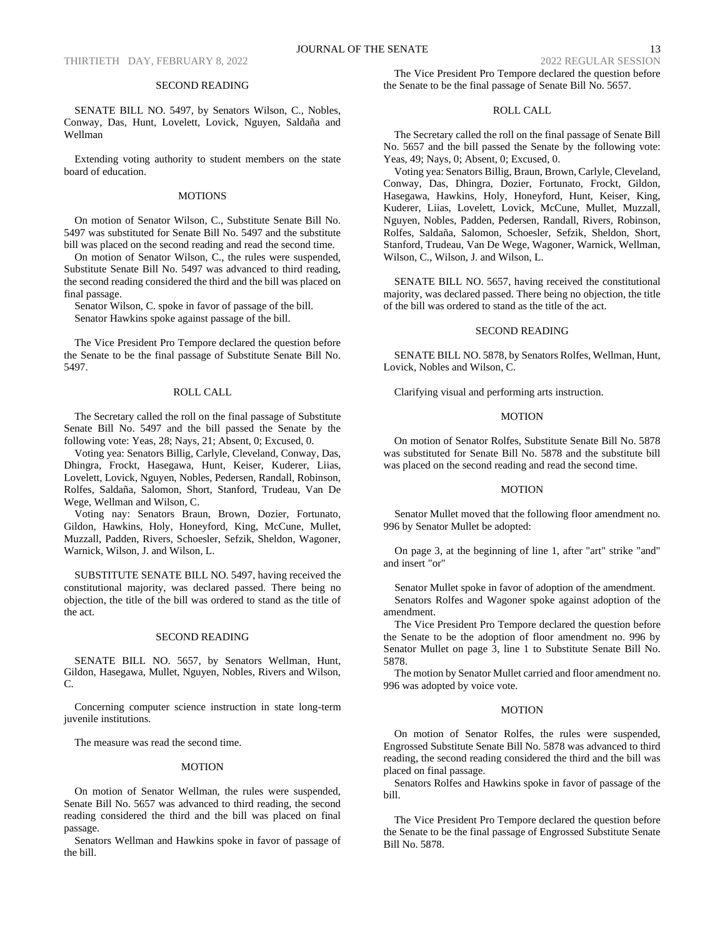#### SECOND READING

SENATE BILL NO. 5497, by Senators Wilson, C., Nobles, Conway, Das, Hunt, Lovelett, Lovick, Nguyen, Saldaña and Wellman

Extending voting authority to student members on the state board of education.

#### MOTIONS

On motion of Senator Wilson, C., Substitute Senate Bill No. 5497 was substituted for Senate Bill No. 5497 and the substitute bill was placed on the second reading and read the second time.

On motion of Senator Wilson, C., the rules were suspended, Substitute Senate Bill No. 5497 was advanced to third reading, the second reading considered the third and the bill was placed on final passage.

Senator Wilson, C. spoke in favor of passage of the bill.

Senator Hawkins spoke against passage of the bill.

The Vice President Pro Tempore declared the question before the Senate to be the final passage of Substitute Senate Bill No. 5497.

# ROLL CALL

The Secretary called the roll on the final passage of Substitute Senate Bill No. 5497 and the bill passed the Senate by the following vote: Yeas, 28; Nays, 21; Absent, 0; Excused, 0.

Voting yea: Senators Billig, Carlyle, Cleveland, Conway, Das, Dhingra, Frockt, Hasegawa, Hunt, Keiser, Kuderer, Liias, Lovelett, Lovick, Nguyen, Nobles, Pedersen, Randall, Robinson, Rolfes, Saldaña, Salomon, Short, Stanford, Trudeau, Van De Wege, Wellman and Wilson, C.

Voting nay: Senators Braun, Brown, Dozier, Fortunato, Gildon, Hawkins, Holy, Honeyford, King, McCune, Mullet, Muzzall, Padden, Rivers, Schoesler, Sefzik, Sheldon, Wagoner, Warnick, Wilson, J. and Wilson, L.

SUBSTITUTE SENATE BILL NO. 5497, having received the constitutional majority, was declared passed. There being no objection, the title of the bill was ordered to stand as the title of the act.

### SECOND READING

SENATE BILL NO. 5657, by Senators Wellman, Hunt, Gildon, Hasegawa, Mullet, Nguyen, Nobles, Rivers and Wilson, C.

Concerning computer science instruction in state long-term juvenile institutions.

The measure was read the second time.

#### **MOTION**

On motion of Senator Wellman, the rules were suspended, Senate Bill No. 5657 was advanced to third reading, the second reading considered the third and the bill was placed on final passage.

Senators Wellman and Hawkins spoke in favor of passage of the bill.

# ROLL CALL

The Secretary called the roll on the final passage of Senate Bill No. 5657 and the bill passed the Senate by the following vote: Yeas, 49; Nays, 0; Absent, 0; Excused, 0.

Voting yea: Senators Billig, Braun, Brown, Carlyle, Cleveland, Conway, Das, Dhingra, Dozier, Fortunato, Frockt, Gildon, Hasegawa, Hawkins, Holy, Honeyford, Hunt, Keiser, King, Kuderer, Liias, Lovelett, Lovick, McCune, Mullet, Muzzall, Nguyen, Nobles, Padden, Pedersen, Randall, Rivers, Robinson, Rolfes, Saldaña, Salomon, Schoesler, Sefzik, Sheldon, Short, Stanford, Trudeau, Van De Wege, Wagoner, Warnick, Wellman, Wilson, C., Wilson, J. and Wilson, L.

SENATE BILL NO. 5657, having received the constitutional majority, was declared passed. There being no objection, the title of the bill was ordered to stand as the title of the act.

# SECOND READING

SENATE BILL NO. 5878, by Senators Rolfes, Wellman, Hunt, Lovick, Nobles and Wilson, C.

Clarifying visual and performing arts instruction.

# MOTION

On motion of Senator Rolfes, Substitute Senate Bill No. 5878 was substituted for Senate Bill No. 5878 and the substitute bill was placed on the second reading and read the second time.

#### MOTION

Senator Mullet moved that the following floor amendment no. 996 by Senator Mullet be adopted:

On page 3, at the beginning of line 1, after "art" strike "and" and insert "or"

Senator Mullet spoke in favor of adoption of the amendment. Senators Rolfes and Wagoner spoke against adoption of the amendment.

The Vice President Pro Tempore declared the question before the Senate to be the adoption of floor amendment no. 996 by Senator Mullet on page 3, line 1 to Substitute Senate Bill No. 5878.

The motion by Senator Mullet carried and floor amendment no. 996 was adopted by voice vote.

#### MOTION

On motion of Senator Rolfes, the rules were suspended, Engrossed Substitute Senate Bill No. 5878 was advanced to third reading, the second reading considered the third and the bill was placed on final passage.

Senators Rolfes and Hawkins spoke in favor of passage of the bill.

The Vice President Pro Tempore declared the question before the Senate to be the final passage of Engrossed Substitute Senate Bill No. 5878.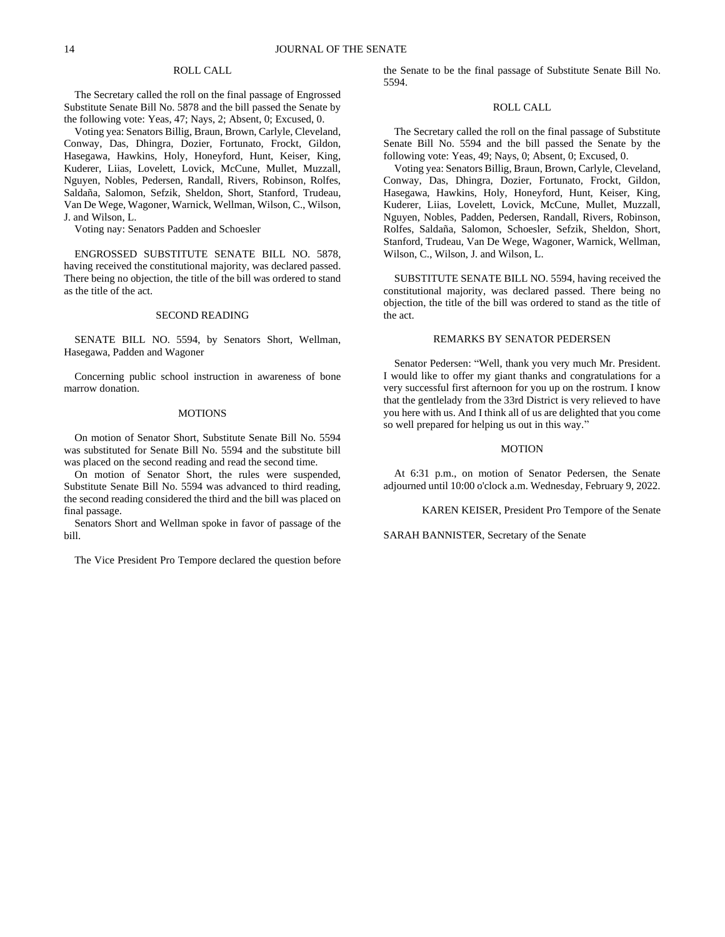# ROLL CALL

The Secretary called the roll on the final passage of Engrossed Substitute Senate Bill No. 5878 and the bill passed the Senate by the following vote: Yeas, 47; Nays, 2; Absent, 0; Excused, 0.

Voting yea: Senators Billig, Braun, Brown, Carlyle, Cleveland, Conway, Das, Dhingra, Dozier, Fortunato, Frockt, Gildon, Hasegawa, Hawkins, Holy, Honeyford, Hunt, Keiser, King, Kuderer, Liias, Lovelett, Lovick, McCune, Mullet, Muzzall, Nguyen, Nobles, Pedersen, Randall, Rivers, Robinson, Rolfes, Saldaña, Salomon, Sefzik, Sheldon, Short, Stanford, Trudeau, Van De Wege, Wagoner, Warnick, Wellman, Wilson, C., Wilson, J. and Wilson, L.

Voting nay: Senators Padden and Schoesler

ENGROSSED SUBSTITUTE SENATE BILL NO. 5878, having received the constitutional majority, was declared passed. There being no objection, the title of the bill was ordered to stand as the title of the act.

#### SECOND READING

SENATE BILL NO. 5594, by Senators Short, Wellman, Hasegawa, Padden and Wagoner

Concerning public school instruction in awareness of bone marrow donation.

#### MOTIONS

On motion of Senator Short, Substitute Senate Bill No. 5594 was substituted for Senate Bill No. 5594 and the substitute bill was placed on the second reading and read the second time.

On motion of Senator Short, the rules were suspended, Substitute Senate Bill No. 5594 was advanced to third reading, the second reading considered the third and the bill was placed on final passage.

Senators Short and Wellman spoke in favor of passage of the bill.

The Vice President Pro Tempore declared the question before

the Senate to be the final passage of Substitute Senate Bill No. 5594.

# ROLL CALL

The Secretary called the roll on the final passage of Substitute Senate Bill No. 5594 and the bill passed the Senate by the following vote: Yeas, 49; Nays, 0; Absent, 0; Excused, 0.

Voting yea: Senators Billig, Braun, Brown, Carlyle, Cleveland, Conway, Das, Dhingra, Dozier, Fortunato, Frockt, Gildon, Hasegawa, Hawkins, Holy, Honeyford, Hunt, Keiser, King, Kuderer, Liias, Lovelett, Lovick, McCune, Mullet, Muzzall, Nguyen, Nobles, Padden, Pedersen, Randall, Rivers, Robinson, Rolfes, Saldaña, Salomon, Schoesler, Sefzik, Sheldon, Short, Stanford, Trudeau, Van De Wege, Wagoner, Warnick, Wellman, Wilson, C., Wilson, J. and Wilson, L.

SUBSTITUTE SENATE BILL NO. 5594, having received the constitutional majority, was declared passed. There being no objection, the title of the bill was ordered to stand as the title of the act.

# REMARKS BY SENATOR PEDERSEN

Senator Pedersen: "Well, thank you very much Mr. President. I would like to offer my giant thanks and congratulations for a very successful first afternoon for you up on the rostrum. I know that the gentlelady from the 33rd District is very relieved to have you here with us. And I think all of us are delighted that you come so well prepared for helping us out in this way."

#### MOTION

At 6:31 p.m., on motion of Senator Pedersen, the Senate adjourned until 10:00 o'clock a.m. Wednesday, February 9, 2022.

KAREN KEISER, President Pro Tempore of the Senate

SARAH BANNISTER, Secretary of the Senate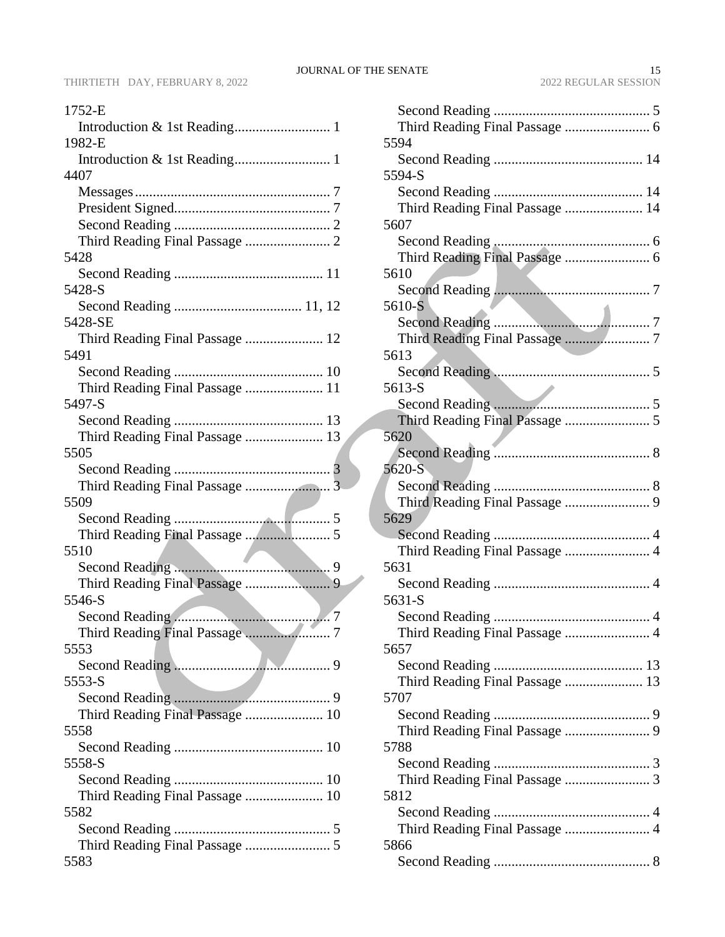| 1752-E                                  |
|-----------------------------------------|
|                                         |
| 1982-E                                  |
|                                         |
| 4407                                    |
|                                         |
|                                         |
|                                         |
|                                         |
| 5428                                    |
|                                         |
| 5428-S                                  |
|                                         |
| 5428-SE                                 |
| Third Reading Final Passage  12         |
| 5491                                    |
|                                         |
| Third Reading Final Passage  11         |
| 5497-S                                  |
|                                         |
| Third Reading Final Passage  13         |
| 5505                                    |
|                                         |
|                                         |
| 5509                                    |
|                                         |
|                                         |
| 5510                                    |
|                                         |
|                                         |
| 5546-S                                  |
|                                         |
|                                         |
| 5553                                    |
| 5553-S                                  |
|                                         |
|                                         |
| Third Reading Final Passage  10<br>5558 |
|                                         |
| 5558-S                                  |
|                                         |
|                                         |
| Third Reading Final Passage  10<br>5582 |
|                                         |
|                                         |
| 5583                                    |
|                                         |

| 5594                                    |
|-----------------------------------------|
| 5594-S                                  |
|                                         |
| Third Reading Final Passage  14<br>5607 |
|                                         |
|                                         |
| 5610                                    |
|                                         |
| 5610-S                                  |
|                                         |
|                                         |
| 5613                                    |
|                                         |
| 5613-S                                  |
|                                         |
| 5620                                    |
|                                         |
| 5620-S                                  |
|                                         |
|                                         |
| 5629                                    |
|                                         |
| Third Reading Final Passage  4          |
| 5631                                    |
| 5631-S                                  |
|                                         |
|                                         |
| 5657                                    |
|                                         |
| Third Reading Final Passage  13         |
| 5707                                    |
|                                         |
|                                         |
| 5788                                    |
|                                         |
| Third Reading Final Passage  3          |
| 5812                                    |
| Third Reading Final Passage  4          |
| 5866                                    |
|                                         |